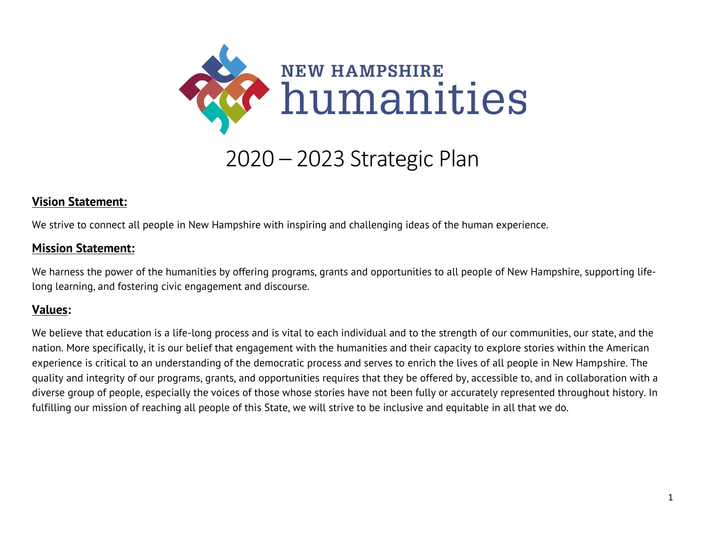

# 2020 – 2023 Strategic Plan

## **Vision Statement:**

We strive to connect all people in New Hampshire with inspiring and challenging ideas of the human experience.

#### **Mission Statement:**

We harness the power of the humanities by offering programs, grants and opportunities to all people of New Hampshire, supporting lifelong learning, and fostering civic engagement and discourse.

## **Values:**

We believe that education is a life-long process and is vital to each individual and to the strength of our communities, our state, and the nation. More specifically, it is our belief that engagement with the humanities and their capacity to explore stories within the American experience is critical to an understanding of the democratic process and serves to enrich the lives of all people in New Hampshire. The quality and integrity of our programs, grants, and opportunities requires that they be offered by, accessible to, and in collaboration with a diverse group of people, especially the voices of those whose stories have not been fully or accurately represented throughout history. In fulfilling our mission of reaching all people of this State, we will strive to be inclusive and equitable in all that we do.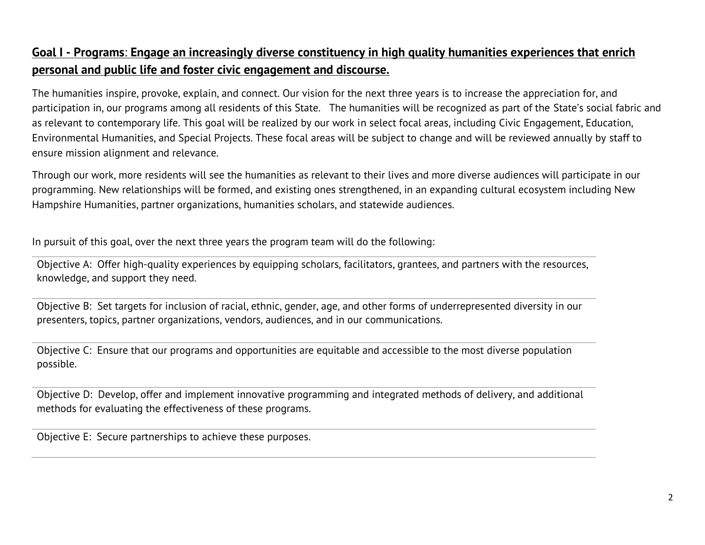# **Goal I - Programs**: **Engage an increasingly diverse constituency in high quality humanities experiences that enrich personal and public life and foster civic engagement and discourse.**

The humanities inspire, provoke, explain, and connect. Our vision for the next three years is to increase the appreciation for, and participation in, our programs among all residents of this State. The humanities will be recognized as part of the State's social fabric and as relevant to contemporary life. This goal will be realized by our work in select focal areas, including Civic Engagement, Education, Environmental Humanities, and Special Projects. These focal areas will be subject to change and will be reviewed annually by staff to ensure mission alignment and relevance.

Through our work, more residents will see the humanities as relevant to their lives and more diverse audiences will participate in our programming. New relationships will be formed, and existing ones strengthened, in an expanding cultural ecosystem including New Hampshire Humanities, partner organizations, humanities scholars, and statewide audiences.

In pursuit of this goal, over the next three years the program team will do the following:

Objective A: Offer high-quality experiences by equipping scholars, facilitators, grantees, and partners with the resources, knowledge, and support they need.

Objective B: Set targets for inclusion of racial, ethnic, gender, age, and other forms of underrepresented diversity in our presenters, topics, partner organizations, vendors, audiences, and in our communications.

Objective C: Ensure that our programs and opportunities are equitable and accessible to the most diverse population possible.

Objective D: Develop, offer and implement innovative programming and integrated methods of delivery, and additional methods for evaluating the effectiveness of these programs.

Objective E: Secure partnerships to achieve these purposes.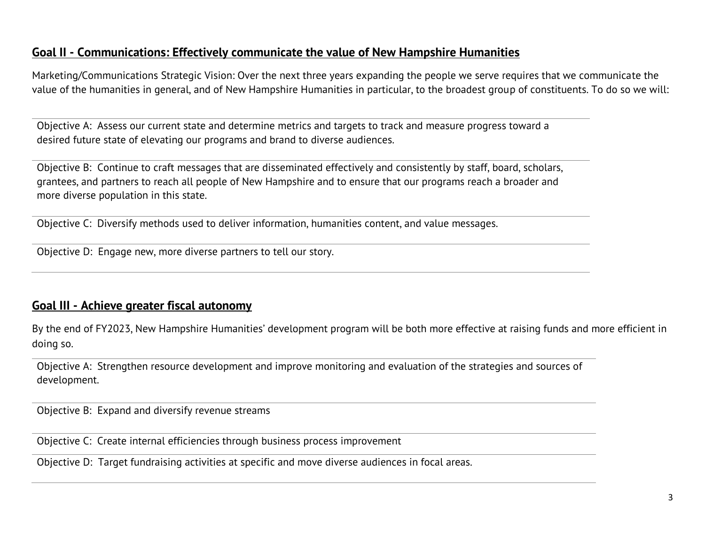## **Goal II - Communications: Effectively communicate the value of New Hampshire Humanities**

Marketing/Communications Strategic Vision: Over the next three years expanding the people we serve requires that we communicate the value of the humanities in general, and of New Hampshire Humanities in particular, to the broadest group of constituents. To do so we will:

Objective A: Assess our current state and determine metrics and targets to track and measure progress toward a desired future state of elevating our programs and brand to diverse audiences.

Objective B: Continue to craft messages that are disseminated effectively and consistently by staff, board, scholars, grantees, and partners to reach all people of New Hampshire and to ensure that our programs reach a broader and more diverse population in this state.

Objective C: Diversify methods used to deliver information, humanities content, and value messages.

Objective D: Engage new, more diverse partners to tell our story.

## **Goal III - Achieve greater fiscal autonomy**

By the end of FY2023, New Hampshire Humanities' development program will be both more effective at raising funds and more efficient in doing so.

Objective A: Strengthen resource development and improve monitoring and evaluation of the strategies and sources of development.

Objective B: Expand and diversify revenue streams

Objective C: Create internal efficiencies through business process improvement

Objective D: Target fundraising activities at specific and move diverse audiences in focal areas.